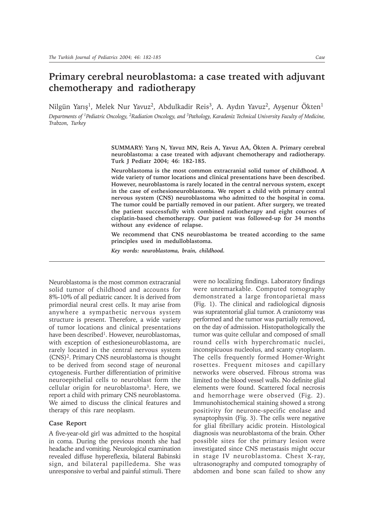## **Primary cerebral neuroblastoma: a case treated with adjuvant chemotherapy and radiotherapy**

Nilgün Yarış<sup>1</sup>, Melek Nur Yavuz<sup>2</sup>, Abdulkadir Reis<sup>3</sup>, A. Aydın Yavuz<sup>2</sup>, Ayşenur Ökten<sup>1</sup>

*Departments of 1Pediatric Oncology, 2Radiation Oncology, and 3Pathology, Karadeniz Technical University Faculty of Medicine, Trabzon, Turkey*

> SUMMARY: Yarış N, Yavuz MN, Reis A, Yavuz AA, Ökten A. Primary cerebral **neuroblastoma: a case treated with adjuvant chemotherapy and radiotherapy. Turk J Pediatr 2004; 46: 182-185.**

> **Neuroblastoma is the most common extracranial solid tumor of childhood. A wide variety of tumor locations and clinical presentations have been described. However, neuroblastoma is rarely located in the central nervous system, except in the case of esthesioneuroblastoma. We report a child with primary central nervous system (CNS) neuroblastoma who admitted to the hospital in coma. The tumor could be partially removed in our patient. After surgery, we treated the patient successfully with combined radiotherapy and eight courses of cisplatin-based chemotherapy. Our patient was followed-up for 34 months without any evidence of relapse.**

> **We recommend that CNS neuroblastoma be treated according to the same principles used in medulloblastoma.**

*Key words: neuroblastoma, brain, childhood.*

Neuroblastoma is the most common extracranial solid tumor of childhood and accounts for 8%-10% of all pediatric cancer. It is derived from primordial neural crest cells. It may arise from anywhere a sympathetic nervous system structure is present. Therefore, a wide variety of tumor locations and clinical presentations have been described<sup>1</sup>. However, neuroblastomas, with exception of esthesioneuroblastoma, are rarely located in the central nervous system (CNS)2. Primary CNS neuroblastoma is thought to be derived from second stage of neuronal cytogenesis. Further differentiation of primitive neuroepithelial cells to neuroblast form the cellular origin for neuroblastoma3. Here, we report a child with primary CNS neuroblastoma. We aimed to discuss the clinical features and therapy of this rare neoplasm.

## **Case Report**

A five-year-old girl was admitted to the hospital in coma. During the previous month she had headache and vomiting. Neurological examination revealed diffuse hypereflexia, bilateral Babinski sign, and bilateral papilledema. She was unresponsive to verbal and painful stimuli. There were no localizing findings. Laboratory findings were unremarkable. Computed tomography demonstrated a large frontoparietal mass (Fig. 1). The clinical and radiological dignosis was supratentorial glial tumor. A craniotomy was performed and the tumor was partially removed, on the day of admission. Histopathologically the tumor was quite cellular and composed of small round cells with hyperchromatic nuclei, inconspicuous nucleolus, and scanty cytoplasm. The cells frequently formed Homer-Wright rosettes. Frequent mitoses and capillary networks were observed. Fibrous stroma was limited to the blood vessel walls. No definite glial elements were found. Scattered focal necrosis and hemorrhage were observed (Fig. 2). Immunohistochemical staining showed a strong positivity for neurone-specific enolase and synaptophysin (Fig. 3). The cells were negative for glial fibrillary acidic protein. Histological diagnosis was neuroblastoma of the brain. Other possible sites for the primary lesion were investigated since CNS metastasis might occur in stage IV neuroblastoma. Chest X-ray, ultrasonography and computed tomography of abdomen and bone scan failed to show any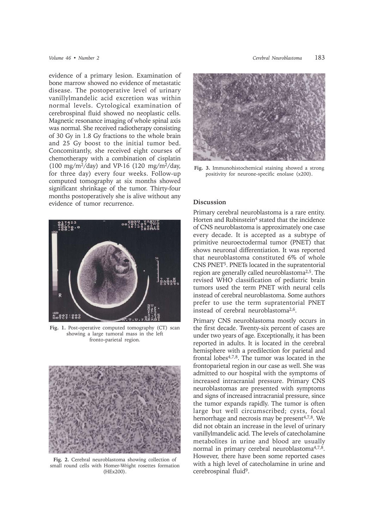evidence of a primary lesion. Examination of bone marrow showed no evidence of metastatic disease. The postoperative level of urinary vanillylmandelic acid excretion was within normal levels. Cytological examination of cerebrospinal fluid showed no neoplastic cells. Magnetic resonance imaging of whole spinal axis was normal. She received radiotherapy consisting of 30 Gy in 1.8 Gy fractions to the whole brain and 25 Gy boost to the initial tumor bed. Concomitantly, she received eight courses of chemotherapy with a combination of cisplatin (100 mg/m<sup>2</sup>/day) and VP-16 (120 mg/m<sup>2</sup>/day, for three day) every four weeks. Follow-up computed tomography at six months showed significant shrinkage of the tumor. Thirty-four months postoperatively she is alive without any evidence of tumor recurrence.



**Fig. 1.** Post-operative computed tomography (CT) scan showing a large tumoral mass in the left fronto-parietal region.



**Fig. 2.** Cerebral neuroblastoma showing collection of small round cells with Homer-Wright rosettes formation (HEx200).



**Fig. 3.** Immunohistochemical staining showed a strong positivity for neurone-specific enolase (x200).

## **Discussion**

Primary cerebral neuroblastoma is a rare entity. Horten and Rubinstein<sup>4</sup> stated that the incidence of CNS neuroblastoma is approximately one case every decade. It is accepted as a subtype of primitive neuroectodermal tumor (PNET) that shows neuronal differentiation. It was reported that neuroblastoma constituted 6% of whole CNS PNET5. PNETs located in the supratentorial region are generally called neuroblastoma2,5. The revised WHO classification of pediatric brain tumors used the term PNET with neural cells instead of cerebral neuroblastoma. Some authors prefer to use the term supratentorial PNET instead of cerebral neuroblastoma2,6.

Primary CNS neuroblastoma mostly occurs in the first decade. Twenty-six percent of cases are under two years of age. Exceptionally, it has been reported in adults. It is located in the cerebral hemisphere with a predilection for parietal and frontal lobes4,7,8. The tumor was located in the frontoparietal region in our case as well. She was admitted to our hospital with the symptoms of increased intracranial pressure. Primary CNS neuroblastomas are presented with symptoms and signs of increased intracranial pressure, since the tumor expands rapidly. The tumor is often large but well circumscribed; cysts, focal hemorrhage and necrosis may be present<sup>4,7,8</sup>. We did not obtain an increase in the level of urinary vanillylmandelic acid. The levels of catecholamine metabolites in urine and blood are usually normal in primary cerebral neuroblastoma4,7,8. However, there have been some reported cases with a high level of catecholamine in urine and cerebrospinal fluid<sup>9</sup>.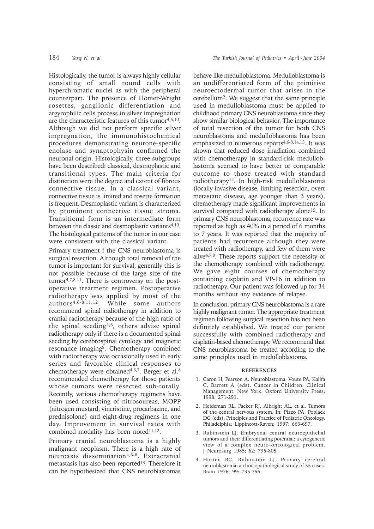Histologically, the tumor is always highly cellular consisting of small round cells with hyperchromatic nuclei as with the peripheral counterpart. The presence of Homer-Wright rosettes, ganglionic differentiation and argyrophilic cells process in silver impregnation are the characteristic features of this tumor<sup>4,5,10</sup>. Although we did not perform specific silver impregnation, the immunohistochemical procedures demonstrating neurone-specific enolase and synaptophysin confirmed the neuronal origin. Histologically, three subgroups have been described: classical, desmoplastic and transitional types. The main criteria for distinction were the degree and extent of fibrous connective tissue. In a classical variant, connective tissue is limited and rosette formation is frequent. Desmoplastic variant is characterized by prominent connective tissue stroma. Transitional form is an intermediate form between the classic and desmoplastic variants<sup>4,10</sup>. The histological patterns of the tumor in our case were consistent with the classical variant.

Primary treatment f the CNS neuroblastoma is surgical resection. Although total removal of the tumor is important for survival, generally this is not possible because of the large size of the tumor4,7,8,11. There is controversy on the postoperative treatment regimen. Postoperative radiotherapy was applied by most of the authors4,6-8,11,12. While some authors recommend spinal radiotherapy in addition to cranial radiotherapy because of the high ratio of the spinal seeding4,6, others advise spinal radiotherapy only if there is a documented spinal seeding by cerebrospinal cytology and magnetic resonance imaging8. Chemotherapy combined with radiotherapy was occasionally used in early series and favorable clinical responses to chemotherapy were obtained<sup>4,6,7</sup>. Berger et al.<sup>8</sup> recommended chemotherapy for those patients whose tumors were resected sub-totally. Recently, various chemotherapy regimens have been used consisting of nitrosoureas, MOPP (nitrogen mustard, vincristine, procarbazine, and prednisolone) and eight-drug regimens in one day. Improvement in survival rates with combined modality has been noted<sup>11,12</sup>.

Primary cranial neuroblastoma is a highly malignant neoplasm. There is a high rate of neuroaxis dissemination4,6-8. Extracranial metastasis has also been reported<sup>13</sup>. Therefore it can be hypothesized that CNS neuroblastomas

behave like medulloblastoma. Medulloblastoma is an undifferentiated form of the primitive neuroectodermal tumor that arises in the cerebellum2. We suggest that the same principle used in medulloblastoma must be applied to childhood primary CNS neuroblastoma since they show similar biological behavior. The importance of total resection of the tumor for both CNS neuroblastoma and medulloblastoma has been emphasized in numerous reports<sup>4,6-8,14,15</sup>. It was shown that reduced dose irradiation combined with chemotherapy in standard-risk medulloblastoma seemed to have better or comparable outcome to those treated with standard radiotherapy<sup>14</sup>. In high-risk medulloblastoma (locally invasive disease, limiting resection, overt metastatic disease, age younger than 3 years), chemotherapy made significant improvements in survival compared with radiotherapy alone<sup>15</sup>. In primary CNS neuroblastoma, recurrence rate was reported as high as 40% in a period of 6 months to 7 years. It was reported that the majority of patients had recurrence although they were treated with radiotherapy, and few of them were alive4,7,8. These reports support the necessity of the chemotherapy combined with radiotherapy. We gave eight courses of chemotherapy containing cisplatin and VP-16 in addition to radiotherapy. Our patient was followed up for 34 months without any evidence of relapse.

In conclusion, primary CNS neuroblastoma is a rare highly malignant tumor. The appropriate treatment regimen following surgical resection has not been definitely established. We treated our patient successfully with combined radiotherapy and cisplatin-based chemotherapy. We recommend that CNS neuroblastoma be treated according to the same principles used in medulloblastoma.

## **REFERENCES**

- 1. Caron H, Pearson A. Neuroblastoma. Voute PA, Kalifa C, Barrett A (eds). Cancer in Children: Clinical Management. New York: Oxford University Press; 1998: 271-291.
- 2. Heideman RL, Packer RJ, Albright AL, et al. Tumors of the central nervous system. In: Pizzo PA, Poplack DG (eds). Principles and Practice of Pediatric Oncology. Philadelphia: Lippincott-Raven; 1997: 663-697.
- 3. Rubinstein LJ. Embryonal central neuroepithelial tumors and their differentiating potential: a cytogenetic view of a complex neuro-oncological problem. J Neurosurg 1985; 62: 795-805.
- 4. Horten BC, Rubinstein LJ. Primary cerebral neuroblastoma: a clinicopathological study of 35 cases. Brain 1976; 99: 735-756.